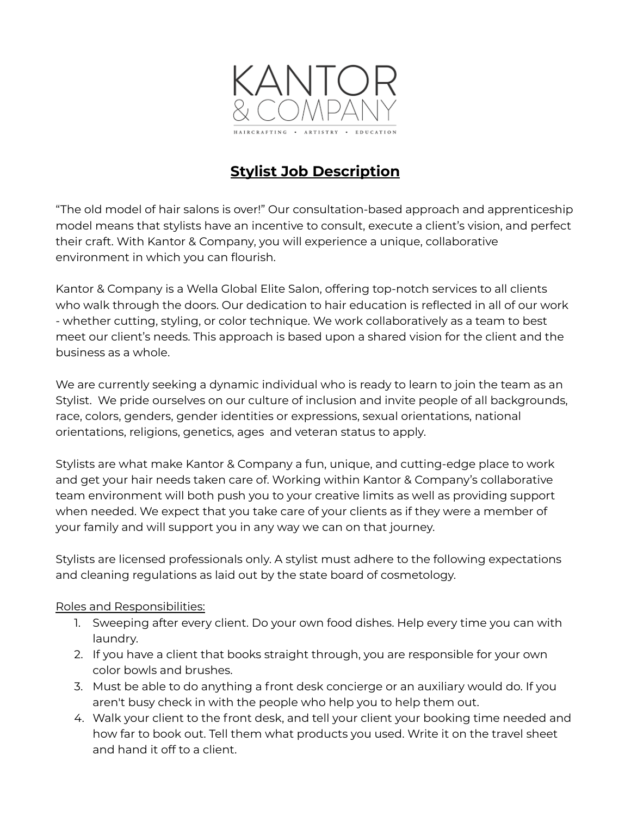

# **Stylist Job Description**

"The old model of hair salons is over!" Our consultation-based approach and apprenticeship model means that stylists have an incentive to consult, execute a client's vision, and perfect their craft. With Kantor & Company, you will experience a unique, collaborative environment in which you can flourish.

Kantor & Company is a Wella Global Elite Salon, offering top-notch services to all clients who walk through the doors. Our dedication to hair education is reflected in all of our work - whether cutting, styling, or color technique. We work collaboratively as a team to best meet our client's needs. This approach is based upon a shared vision for the client and the business as a whole.

We are currently seeking a dynamic individual who is ready to learn to join the team as an Stylist. We pride ourselves on our culture of inclusion and invite people of all backgrounds, race, colors, genders, gender identities or expressions, sexual orientations, national orientations, religions, genetics, ages and veteran status to apply.

Stylists are what make Kantor & Company a fun, unique, and cutting-edge place to work and get your hair needs taken care of. Working within Kantor & Company's collaborative team environment will both push you to your creative limits as well as providing support when needed. We expect that you take care of your clients as if they were a member of your family and will support you in any way we can on that journey.

Stylists are licensed professionals only. A stylist must adhere to the following expectations and cleaning regulations as laid out by the state board of cosmetology.

## Roles and Responsibilities:

- 1. Sweeping after every client. Do your own food dishes. Help every time you can with laundry.
- 2. If you have a client that books straight through, you are responsible for your own color bowls and brushes.
- 3. Must be able to do anything a front desk concierge or an auxiliary would do. If you aren't busy check in with the people who help you to help them out.
- 4. Walk your client to the front desk, and tell your client your booking time needed and how far to book out. Tell them what products you used. Write it on the travel sheet and hand it off to a client.